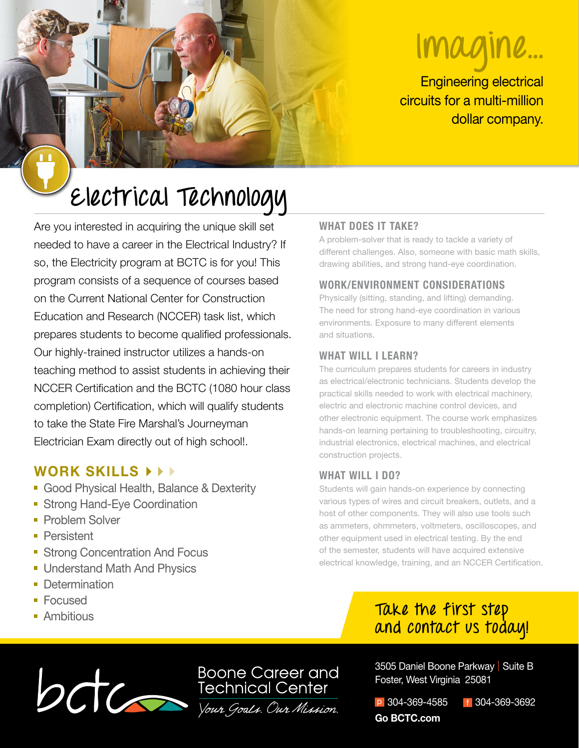# **Imagine...**

Engineering electrical circuits for a multi-million dollar company.

## **Electrical Technology**

Are you interested in acquiring the unique skill set needed to have a career in the Electrical Industry? If so, the Electricity program at BCTC is for you! This program consists of a sequence of courses based on the Current National Center for Construction Education and Research (NCCER) task list, which prepares students to become qualified professionals. Our highly-trained instructor utilizes a hands-on teaching method to assist students in achieving their NCCER Certification and the BCTC (1080 hour class completion) Certification, which will qualify students to take the State Fire Marshal's Journeyman Electrician Exam directly out of high school!.

### **WORK SKILLS**

- Good Physical Health, Balance & Dexterity
- **Strong Hand-Eye Coordination**
- **Problem Solver**
- **Persistent**
- **Strong Concentration And Focus**
- **Understand Math And Physics**
- **Determination**
- **Focused**
- **Ambitious**

#### **WHAT DOES IT TAKE?**

A problem-solver that is ready to tackle a variety of different challenges. Also, someone with basic math skills, drawing abilities, and strong hand-eye coordination.

#### **WORK/ENVIRONMENT CONSIDERATIONS**

Physically (sitting, standing, and lifting) demanding. The need for strong hand-eye coordination in various environments. Exposure to many different elements and situations.

#### **WHAT WILL I LEARN?**

The curriculum prepares students for careers in industry as electrical/electronic technicians. Students develop the practical skills needed to work with electrical machinery, electric and electronic machine control devices, and other electronic equipment. The course work emphasizes hands-on learning pertaining to troubleshooting, circuitry, industrial electronics, electrical machines, and electrical construction projects.

#### **WHAT WILL I DO?**

Students will gain hands-on experience by connecting various types of wires and circuit breakers, outlets, and a host of other components. They will also use tools such as ammeters, ohmmeters, voltmeters, oscilloscopes, and other equipment used in electrical testing. By the end of the semester, students will have acquired extensive electrical knowledge, training, and an NCCER Certification.

## **Take the first step and contact us today!**



3505 Daniel Boone Parkway | Suite B Foster, West Virginia 25081

p 304-369-4585 f 304-369-3692 **Go BCTC.com**